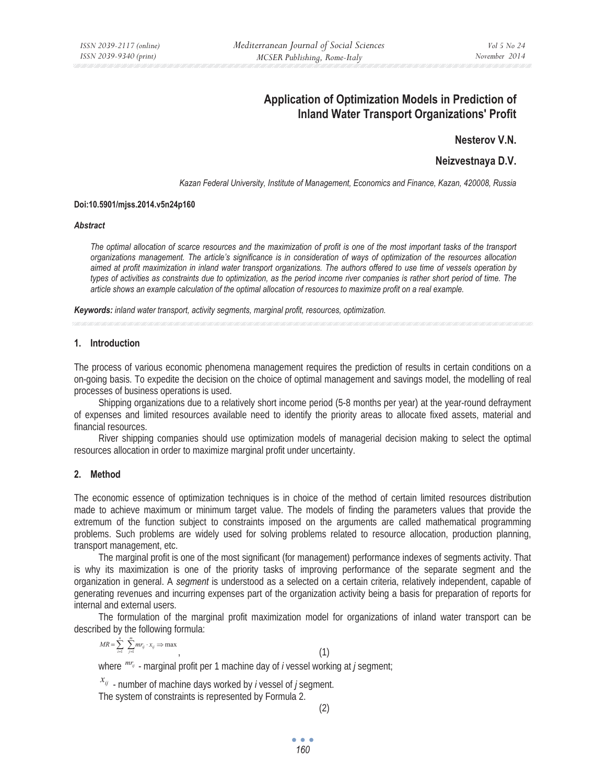# **Application of Optimization Models in Prediction of Inland Water Transport Organizations' Profit**

## **Nesterov V.N.**

# **Neizvestnaya D.V.**

*Kazan Federal University, Institute of Management, Economics and Finance, Kazan, 420008, Russia* 

#### **Doi:10.5901/mjss.2014.v5n24p160**

#### *Abstract*

*The optimal allocation of scarce resources and the maximization of profit is one of the most important tasks of the transport organizations management. The article's significance is in consideration of ways of optimization of the resources allocation aimed at profit maximization in inland water transport organizations. The authors offered to use time of vessels operation by types of activities as constraints due to optimization, as the period income river companies is rather short period of time. The article shows an example calculation of the optimal allocation of resources to maximize profit on a real example.* 

*Keywords: inland water transport, activity segments, marginal profit, resources, optimization.*

### **1. Introduction**

The process of various economic phenomena management requires the prediction of results in certain conditions on a on-going basis. To expedite the decision on the choice of optimal management and savings model, the modelling of real processes of business operations is used.

Shipping organizations due to a relatively short income period (5-8 months per year) at the year-round defrayment of expenses and limited resources available need to identify the priority areas to allocate fixed assets, material and financial resources.

River shipping companies should use optimization models of managerial decision making to select the optimal resources allocation in order to maximize marginal profit under uncertainty.

### **2. Method**

The economic essence of optimization techniques is in choice of the method of certain limited resources distribution made to achieve maximum or minimum target value. The models of finding the parameters values that provide the extremum of the function subject to constraints imposed on the arguments are called mathematical programming problems. Such problems are widely used for solving problems related to resource allocation, production planning, transport management, etc.

The marginal profit is one of the most significant (for management) performance indexes of segments activity. That is why its maximization is one of the priority tasks of improving performance of the separate segment and the organization in general. A *segment* is understood as a selected on a certain criteria, relatively independent, capable of generating revenues and incurring expenses part of the organization activity being a basis for preparation of reports for internal and external users.

The formulation of the marginal profit maximization model for organizations of inland water transport can be described by the following formula:

$$
MR = \sum_{i=1}^{n} \sum_{j=1}^{m} mr_{ij} \cdot x_{ij} \Rightarrow \max
$$
\n(1)

where  $^{mr_{ij}}$  - marginal profit per 1 machine day of *i* vessel working at *j* segment;

 $x_{ij}$  - number of machine days worked by *i* vessel of *j* segment. The system of constraints is represented by Formula 2.

(2)

 $\bullet$   $\bullet$   $\bullet$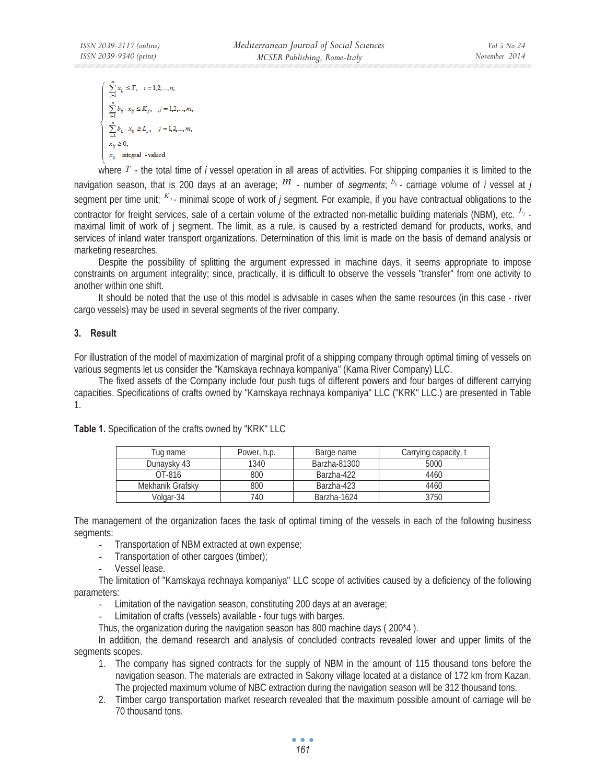$$
\label{eq:1} \begin{aligned} &\sum_{j=1}^n x_{ij} \leq T, \quad i=1,2,...,n,\\ &\sum_{i=1}^n b_{ij} \cdot x_{ij} \leq K_j, \quad j=1,2,...,m,\\ &\sum_{i=1}^n b_{ij} \cdot x_{ij} \geq L_j, \quad j=1,2,...,m,\\ &x_{ij} \geq 0,\\ &x_{ij} \quad \text{integral} \quad \text{-valued} \end{aligned}
$$

where  $T$  - the total time of *i* vessel operation in all areas of activities. For shipping companies it is limited to the navigation season, that is 200 days at an average;  $m$  - number of *segments*;  $b_{ij}^{i}$  carriage volume of *i* vessel at *j* segment per time unit;  $^{K_j}$ - minimal scope of work of *j* segment. For example, if you have contractual obligations to the contractor for freight services, sale of a certain volume of the extracted non-metallic building materials (NBM), etc.  $^{L_j}$  maximal limit of work of j segment. The limit, as a rule, is caused by a restricted demand for products, works, and services of inland water transport organizations. Determination of this limit is made on the basis of demand analysis or marketing researches.

Despite the possibility of splitting the argument expressed in machine days, it seems appropriate to impose constraints on argument integrality; since, practically, it is difficult to observe the vessels "transfer" from one activity to another within one shift.

It should be noted that the use of this model is advisable in cases when the same resources (in this case - river cargo vessels) may be used in several segments of the river company.

### **3. Result**

For illustration of the model of maximization of marginal profit of a shipping company through optimal timing of vessels on various segments let us consider the "Kamskaya rechnaya kompaniya" (Kama River Company) LLC.

The fixed assets of the Company include four push tugs of different powers and four barges of different carrying capacities. Specifications of crafts owned by "Kamskaya rechnaya kompaniya" LLC ("KRK" LLC.) are presented in Table 1.

| Tua name         | Power, h.p. | Barge name   | Carrying capacity, t |
|------------------|-------------|--------------|----------------------|
| Dunaysky 43      | 1340        | Barzha-81300 | 5000                 |
| OT-816           | 800         | Barzha-422   | 4460                 |
| Mekhanik Grafsky | 800         | Barzha-423   | 4460                 |
| Volgar-34        | 740         | Barzha-1624  | 3750                 |

**Table 1.** Specification of the crafts owned by "KRK" LLC

The management of the organization faces the task of optimal timing of the vessels in each of the following business segments:

- Transportation of NBM extracted at own expense;

- Transportation of other cargoes (timber);
- Vessel lease.

The limitation of "Kamskaya rechnaya kompaniya" LLC scope of activities caused by a deficiency of the following parameters:

- Limitation of the navigation season, constituting 200 days at an average;
- Limitation of crafts (vessels) available four tugs with barges.

Thus, the organization during the navigation season has 800 machine days ( 200\*4 ).

In addition, the demand research and analysis of concluded contracts revealed lower and upper limits of the segments scopes.

- 1. The company has signed contracts for the supply of NBM in the amount of 115 thousand tons before the navigation season. The materials are extracted in Sakony village located at a distance of 172 km from Kazan. The projected maximum volume of NBC extraction during the navigation season will be 312 thousand tons.
- 2. Timber cargo transportation market research revealed that the maximum possible amount of carriage will be 70 thousand tons.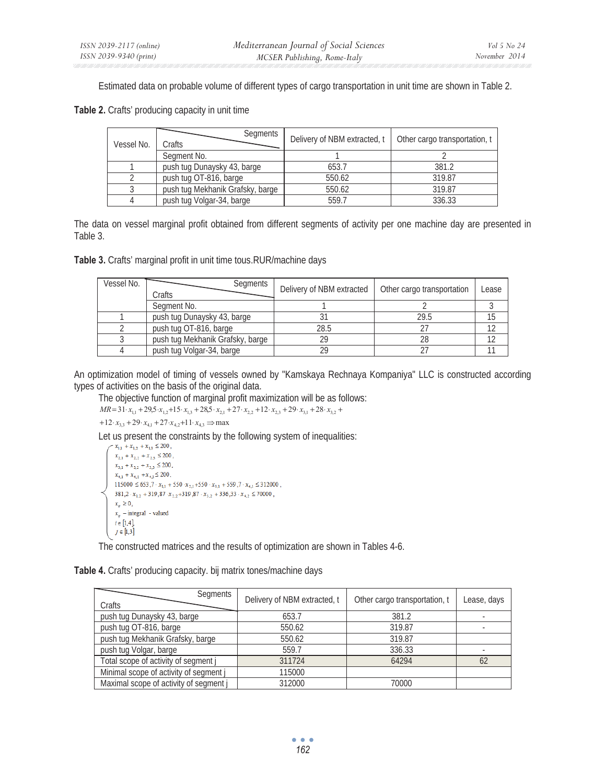Estimated data on probable volume of different types of cargo transportation in unit time are shown in Table 2.

**Table 2.** Crafts' producing capacity in unit time

| Vessel No. | <b>Segments</b><br>Crafts        | Delivery of NBM extracted, t | Other cargo transportation, t |
|------------|----------------------------------|------------------------------|-------------------------------|
|            | Segment No.                      |                              |                               |
|            | push tug Dunaysky 43, barge      | 653.7                        | 381.2                         |
|            | push tug OT-816, barge           | 550.62                       | 319.87                        |
|            | push tug Mekhanik Grafsky, barge | 550.62                       | 319.87                        |
|            | push tug Volgar-34, barge        | 559.7                        | 336.33                        |

The data on vessel marginal profit obtained from different segments of activity per one machine day are presented in Table 3.

**Table 3.** Crafts' marginal profit in unit time tous.RUR/machine days

| Vessel No. | <b>Segments</b><br>Crafts        | Delivery of NBM extracted | Other cargo transportation | Lease |
|------------|----------------------------------|---------------------------|----------------------------|-------|
|            | Segment No.                      |                           |                            |       |
|            | push tug Dunaysky 43, barge      |                           | 29.5                       |       |
|            | push tug OT-816, barge           | 28.5                      |                            |       |
|            | push tug Mekhanik Grafsky, barge |                           |                            | 1 ′າ  |
|            | push tug Volgar-34, barge        |                           |                            |       |

An optimization model of timing of vessels owned by "Kamskaya Rechnaya Kompaniya" LLC is constructed according types of activities on the basis of the original data.

The objective function of marginal profit maximization will be as follows:

 $MR = 31 \cdot x_{1,1} + 29.5 \cdot x_{1,2} + 15 \cdot x_{1,3} + 28.5 \cdot x_{2,1} + 27 \cdot x_{2,2} + 12 \cdot x_{2,3} + 29 \cdot x_{3,1} + 28 \cdot x_{3,2} +$ 

 $+12 \cdot x_{3,3} + 29 \cdot x_{4,1} + 27 \cdot x_{4,2} + 11 \cdot x_{4,3} \implies \text{max}$ 

Let us present the constraints by the following system of inequalities:

```
x_{1,1}\, + x_{1,2}\, + x_{1,3} \, \leq 200\,,x_{2,1}+x_{2,2}+x_{2,3}\leq 200 ,
 x_{3,1} + x_{3,2} + x_{3,3} \le 200,
 x_{4,1} + x_{4,2} + x_{4,3} \le 200,
115000 \le 653.7 \cdot x_{1,1} + 550 \cdot x_{2,1} + 550 \cdot x_{3,1} + 559.7 \cdot x_{4,1} \le 312000,
381,2 \cdot x_{1,2} + 319,87 \cdot x_{2,2} + 319,87 \cdot x_{3,2} + 336,33 \cdot x_{4,2} \le 70000,
 x_{ij} \geq 0,
 x_{ij} – integral - valued
 i \in [1,4]j\in [1,3]
```
The constructed matrices and the results of optimization are shown in Tables 4-6.

**Table 4.** Crafts' producing capacity. bij matrix tones/machine days

| Segments<br>Crafts                     | Delivery of NBM extracted, t | Other cargo transportation, t | Lease, days |
|----------------------------------------|------------------------------|-------------------------------|-------------|
| push tug Dunaysky 43, barge            | 653.7                        | 381.2                         |             |
| push tug OT-816, barge                 | 550.62                       | 319.87                        |             |
| push tug Mekhanik Grafsky, barge       | 550.62                       | 319.87                        |             |
| push tug Volgar, barge                 | 559.7                        | 336.33                        |             |
| Total scope of activity of segment j   | 311724                       | 64294                         | 62          |
| Minimal scope of activity of segment j | 115000                       |                               |             |
| Maximal scope of activity of segment j | 312000                       | 70000                         |             |

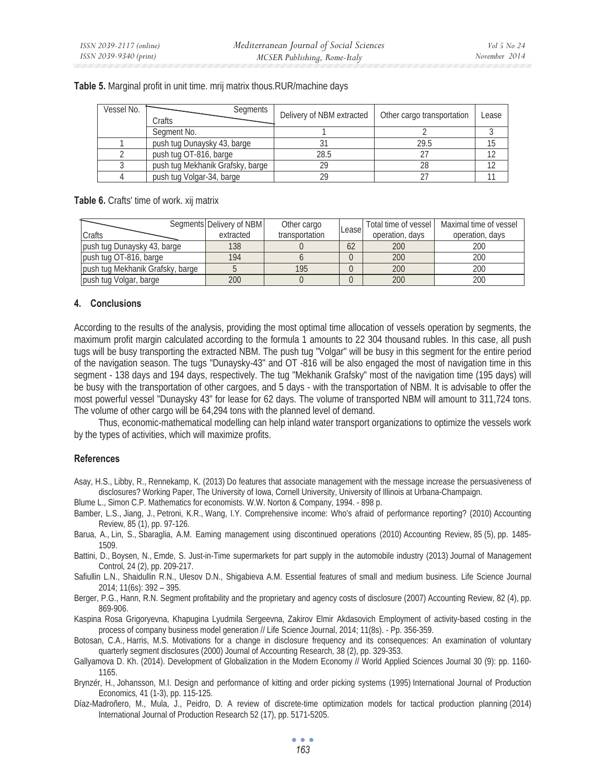| Vessel No. | Segments<br>Crafts               | Delivery of NBM extracted | Other cargo transportation | Lease |
|------------|----------------------------------|---------------------------|----------------------------|-------|
|            | Segment No.                      |                           |                            |       |
|            | push tug Dunaysky 43, barge      |                           | 29.5                       |       |
|            | push tug OT-816, barge           | 28.5                      |                            |       |
|            | push tug Mekhanik Grafsky, barge |                           |                            |       |
|            | push tug Volgar-34, barge        |                           |                            |       |

**Table 5.** Marginal profit in unit time. mrij matrix thous.RUR/machine days

**Table 6.** Crafts' time of work. xij matrix

|                                  | Segments Delivery of NBM | Other cargo    |       | Total time of vessel | Maximal time of vessel |
|----------------------------------|--------------------------|----------------|-------|----------------------|------------------------|
| Crafts                           | extracted                | transportation | Lease | operation, days      | operation, days        |
| push tug Dunaysky 43, barge      | 138                      |                | 62    | 200                  | 200                    |
| push tug OT-816, barge           | 194                      |                |       | 200                  | 200                    |
| push tug Mekhanik Grafsky, barge |                          | 195            |       | 200                  | 200                    |
| push tug Volgar, barge           | 200                      |                |       | 200                  | 200                    |

### **4. Conclusions**

According to the results of the analysis, providing the most optimal time allocation of vessels operation by segments, the maximum profit margin calculated according to the formula 1 amounts to 22 304 thousand rubles. In this case, all push tugs will be busy transporting the extracted NBM. The push tug "Volgar" will be busy in this segment for the entire period of the navigation season. The tugs "Dunaysky-43" and OT -816 will be also engaged the most of navigation time in this segment - 138 days and 194 days, respectively. The tug "Mekhanik Grafsky" most of the navigation time (195 days) will be busy with the transportation of other cargoes, and 5 days - with the transportation of NBM. It is advisable to offer the most powerful vessel "Dunaysky 43" for lease for 62 days. The volume of transported NBM will amount to 311,724 tons. The volume of other cargo will be 64,294 tons with the planned level of demand.

Thus, economic-mathematical modelling can help inland water transport organizations to optimize the vessels work by the types of activities, which will maximize profits.

### **References**

Asay, H.S., Libby, R., Rennekamp, K. (2013) Do features that associate management with the message increase the persuasiveness of disclosures? Working Paper, The University of Iowa, Cornell University, University of Illinois at Urbana-Champaign.

Blume L., Simon C.P. Mathematics for economists. W.W. Norton & Company, 1994. - 898 p.

- Bamber, L.S., Jiang, J., Petroni, K.R., Wang, I.Y. Comprehensive income: Who's afraid of performance reporting? (2010) Accounting Review*,* 85 (1), pp. 97-126.
- Barua, A., Lin, S., Sbaraglia, A.M. Eaming management using discontinued operations (2010) Accounting Review, 85 (5), pp. 1485- 1509.
- Battini, D., Boysen, N., Emde, S. Just-in-Time supermarkets for part supply in the automobile industry (2013) Journal of Management Control*,* 24 (2), pp. 209-217.
- Safiullin L.N., Shaidullin R.N., Ulesov D.N., Shigabieva A.M. Essential features of small and medium business. Life Science Journal 2014; 11(6s): 392 – 395.
- Berger, P.G., Hann, R.N. Segment profitability and the proprietary and agency costs of disclosure (2007) Accounting Review*,* 82 (4), pp. 869-906.
- Kaspina Rosa Grigoryevna, Khapugina Lyudmila Sergeevna, Zakirov Elmir Akdasovich Employment of activity-based costing in the process of company business model generation // Life Science Journal, 2014; 11(8s). - Pp. 356-359.
- Botosan, C.A., Harris, M.S. Motivations for a change in disclosure frequency and its consequences: An examination of voluntary quarterly segment disclosures (2000) Journal of Accounting Research*,* 38 (2), pp. 329-353.
- Gallyamova D. Kh. (2014). Development of Globalization in the Modern Economy // World Applied Sciences Journal 30 (9): pp. 1160-1165.
- Brynzér, H., Johansson, M.I. Design and performance of kitting and order picking systems (1995) International Journal of Production Economics*,* 41 (1-3), pp. 115-125.
- Díaz-Madroñero, M., Mula, J., Peidro, D. A review of discrete-time optimization models for tactical production planning (2014) International Journal of Production Research 52 (17), pp. 5171-5205.